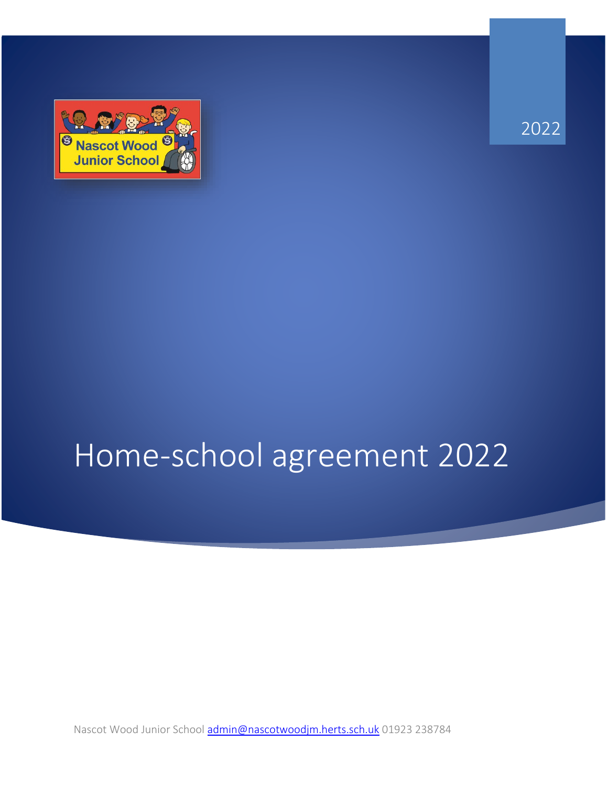

2022

# Home-school agreement 2022

Nascot Wood Junior School [admin@nascotwoodjm.herts.sch.uk](mailto:admin@nascotwoodjm.herts.sch.uk) 01923 238784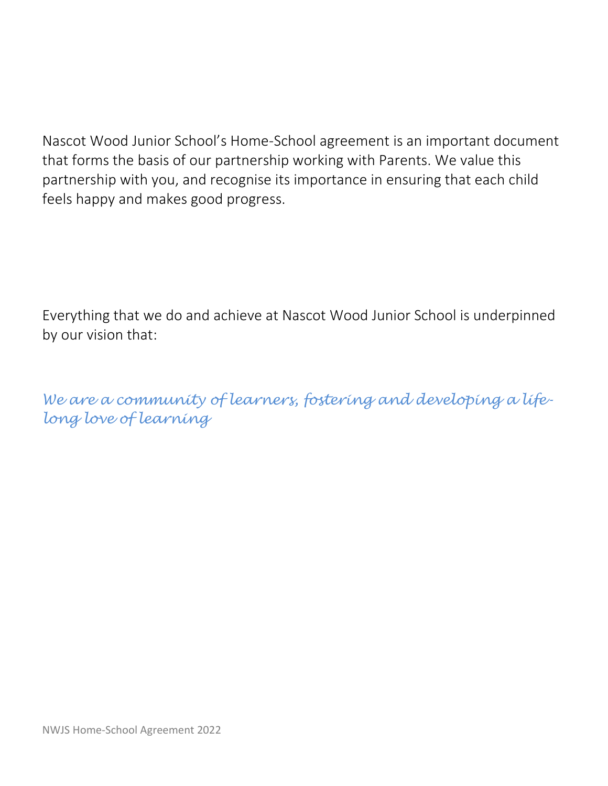Nascot Wood Junior School's Home-School agreement is an important document that forms the basis of our partnership working with Parents. We value this partnership with you, and recognise its importance in ensuring that each child feels happy and makes good progress.

Everything that we do and achieve at Nascot Wood Junior School is underpinned by our vision that:

*We are a community of learners, fostering and developing a lifelong love of learning*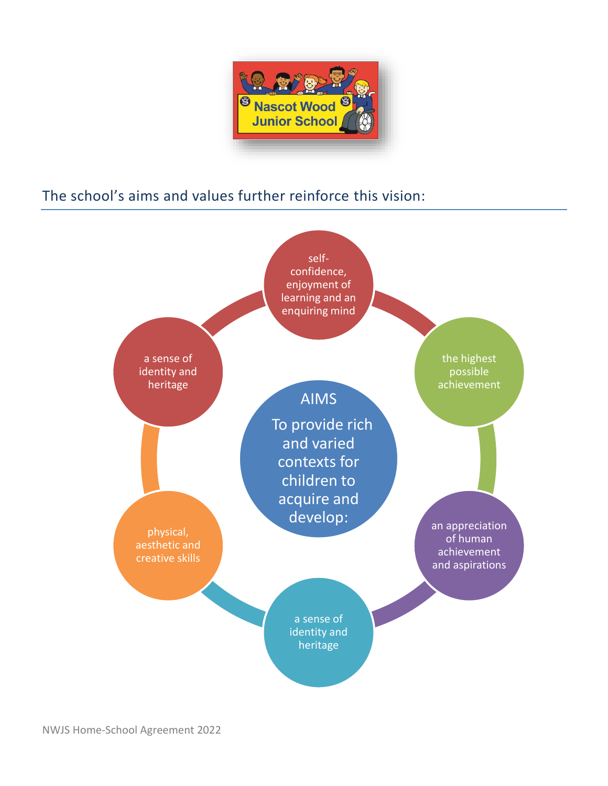

## The school's aims and values further reinforce this vision:

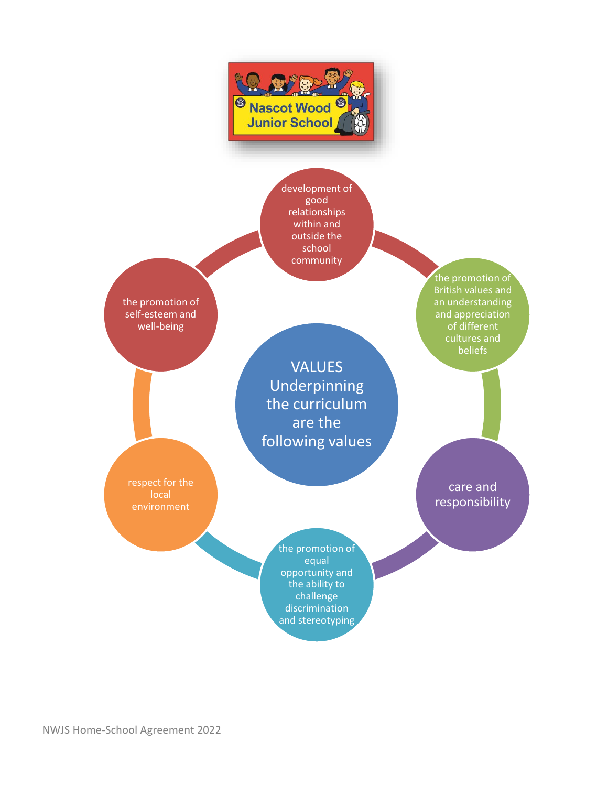

development of good relationships within and outside the school community

the promotion of self-esteem and well-being

> VALUES Underpinning the curriculum are the following values

respect for the local environment

care and responsibility

the promotion of British values and an understanding and appreciation of different cultures and beliefs

the promotion of equal opportunity and the ability to challenge discrimination and stereotyping

NWJS Home-School Agreement 2022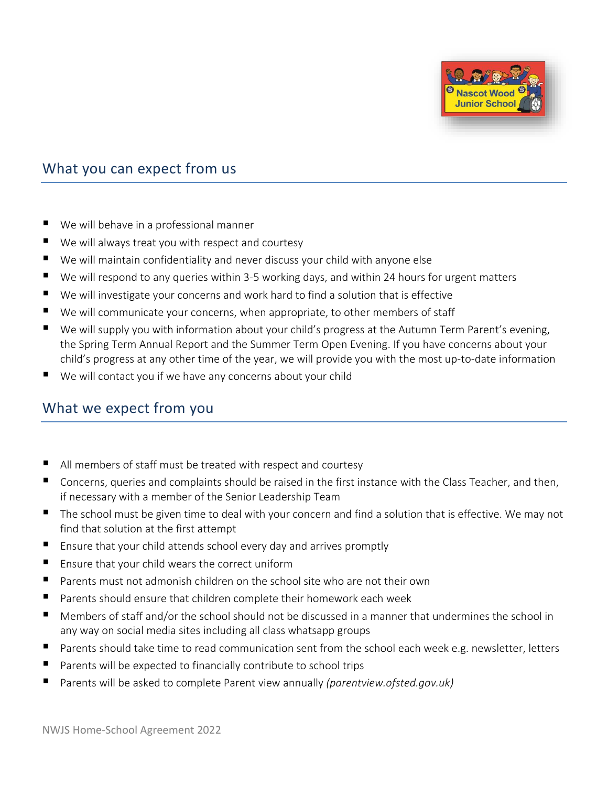

#### What you can expect from us

- We will behave in a professional manner
- We will always treat you with respect and courtesy
- We will maintain confidentiality and never discuss your child with anyone else
- $\blacksquare$  We will respond to any queries within 3-5 working days, and within 24 hours for urgent matters
- We will investigate your concerns and work hard to find a solution that is effective
- We will communicate your concerns, when appropriate, to other members of staff
- We will supply you with information about your child's progress at the Autumn Term Parent's evening, the Spring Term Annual Report and the Summer Term Open Evening. If you have concerns about your child's progress at any other time of the year, we will provide you with the most up-to-date information
- We will contact you if we have any concerns about your child

#### What we expect from you

- All members of staff must be treated with respect and courtesy
- Concerns, queries and complaints should be raised in the first instance with the Class Teacher, and then, if necessary with a member of the Senior Leadership Team
- The school must be given time to deal with your concern and find a solution that is effective. We may not find that solution at the first attempt
- Ensure that your child attends school every day and arrives promptly
- Ensure that your child wears the correct uniform
- Parents must not admonish children on the school site who are not their own
- Parents should ensure that children complete their homework each week
- Members of staff and/or the school should not be discussed in a manner that undermines the school in any way on social media sites including all class whatsapp groups
- **P** Parents should take time to read communication sent from the school each week e.g. newsletter, letters
- **Parents will be expected to financially contribute to school trips**
- Parents will be asked to complete Parent view annually *(parentview.ofsted.gov.uk)*